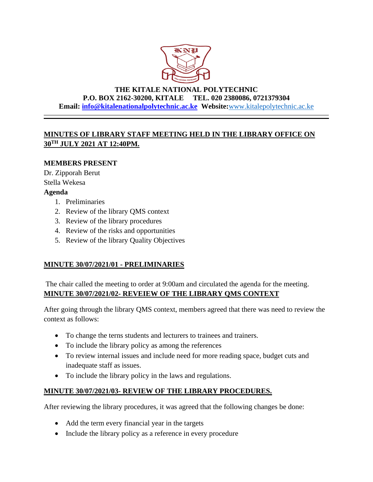

## **THE KITALE NATIONAL POLYTECHNIC P.O. BOX 2162-30200, KITALE TEL. 020 2380086, 0721379304 Email: info@kitalenationalpolytechnic.ac.ke Website:**[www.kitalepolytechnic.ac.ke](http://www.kitalepolytechnic.ac.ke/)

# **MINUTES OF LIBRARY STAFF MEETING HELD IN THE LIBRARY OFFICE ON 30TH JULY 2021 AT 12:40PM.**

## **MEMBERS PRESENT**

Dr. Zipporah Berut Stella Wekesa

#### **Agenda**

- 1. Preliminaries
- 2. Review of the library QMS context
- 3. Review of the library procedures
- 4. Review of the risks and opportunities
- 5. Review of the library Quality Objectives

## **MINUTE 30/07/2021/01 - PRELIMINARIES**

The chair called the meeting to order at 9:00am and circulated the agenda for the meeting. **MINUTE 30/07/2021/02- REVEIEW OF THE LIBRARY QMS CONTEXT**

After going through the library QMS context, members agreed that there was need to review the context as follows:

- To change the terns students and lecturers to trainees and trainers.
- To include the library policy as among the references
- To review internal issues and include need for more reading space, budget cuts and inadequate staff as issues.
- To include the library policy in the laws and regulations.

## **MINUTE 30/07/2021/03- REVIEW OF THE LIBRARY PROCEDURES.**

After reviewing the library procedures, it was agreed that the following changes be done:

- Add the term every financial year in the targets
- Include the library policy as a reference in every procedure